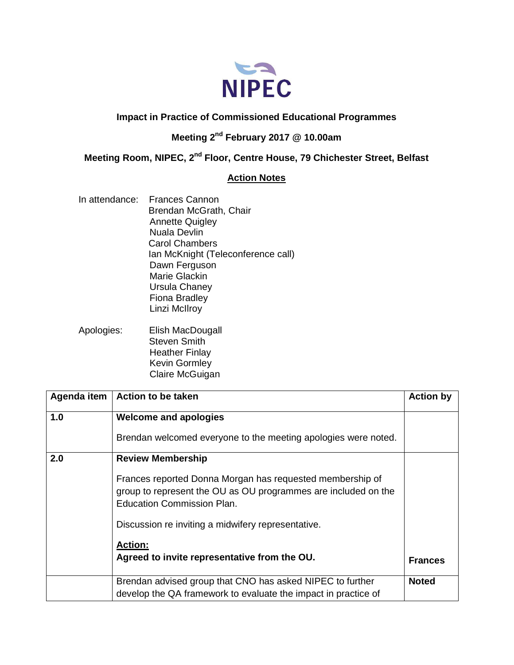

## **Impact in Practice of Commissioned Educational Programmes**

## **Meeting 2nd February 2017 @ 10.00am**

**Meeting Room, NIPEC, 2nd Floor, Centre House, 79 Chichester Street, Belfast**

## **Action Notes**

- In attendance: Frances Cannon Brendan McGrath, Chair Annette Quigley Nuala Devlin Carol Chambers Ian McKnight (Teleconference call) Dawn Ferguson Marie Glackin Ursula Chaney Fiona Bradley Linzi McIlroy
- Apologies: Elish MacDougall Steven Smith Heather Finlay Kevin Gormley Claire McGuigan

|     | Agenda item   Action to be taken                                                                                                                          | <b>Action by</b> |
|-----|-----------------------------------------------------------------------------------------------------------------------------------------------------------|------------------|
| 1.0 | <b>Welcome and apologies</b>                                                                                                                              |                  |
|     | Brendan welcomed everyone to the meeting apologies were noted.                                                                                            |                  |
| 2.0 | <b>Review Membership</b>                                                                                                                                  |                  |
|     | Frances reported Donna Morgan has requested membership of<br>group to represent the OU as OU programmes are included on the<br>Education Commission Plan. |                  |
|     | Discussion re inviting a midwifery representative.                                                                                                        |                  |
|     | <b>Action:</b>                                                                                                                                            |                  |
|     | Agreed to invite representative from the OU.                                                                                                              | <b>Frances</b>   |
|     | Brendan advised group that CNO has asked NIPEC to further<br>develop the QA framework to evaluate the impact in practice of                               | <b>Noted</b>     |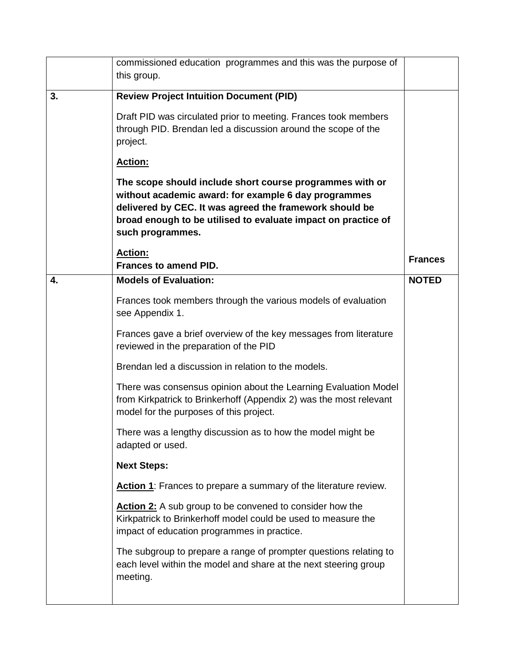|    | commissioned education programmes and this was the purpose of<br>this group.                                                                                                                                                                                     |                |
|----|------------------------------------------------------------------------------------------------------------------------------------------------------------------------------------------------------------------------------------------------------------------|----------------|
| 3. | <b>Review Project Intuition Document (PID)</b>                                                                                                                                                                                                                   |                |
|    | Draft PID was circulated prior to meeting. Frances took members<br>through PID. Brendan led a discussion around the scope of the<br>project.                                                                                                                     |                |
|    | Action:                                                                                                                                                                                                                                                          |                |
|    | The scope should include short course programmes with or<br>without academic award: for example 6 day programmes<br>delivered by CEC. It was agreed the framework should be<br>broad enough to be utilised to evaluate impact on practice of<br>such programmes. |                |
|    | Action:<br><b>Frances to amend PID.</b>                                                                                                                                                                                                                          | <b>Frances</b> |
| 4. | <b>Models of Evaluation:</b>                                                                                                                                                                                                                                     | <b>NOTED</b>   |
|    | Frances took members through the various models of evaluation<br>see Appendix 1.                                                                                                                                                                                 |                |
|    | Frances gave a brief overview of the key messages from literature<br>reviewed in the preparation of the PID                                                                                                                                                      |                |
|    | Brendan led a discussion in relation to the models.                                                                                                                                                                                                              |                |
|    | There was consensus opinion about the Learning Evaluation Model<br>from Kirkpatrick to Brinkerhoff (Appendix 2) was the most relevant<br>model for the purposes of this project.                                                                                 |                |
|    | There was a lengthy discussion as to how the model might be<br>adapted or used.                                                                                                                                                                                  |                |
|    | <b>Next Steps:</b>                                                                                                                                                                                                                                               |                |
|    | Action 1: Frances to prepare a summary of the literature review.                                                                                                                                                                                                 |                |
|    | Action 2: A sub group to be convened to consider how the<br>Kirkpatrick to Brinkerhoff model could be used to measure the<br>impact of education programmes in practice.                                                                                         |                |
|    | The subgroup to prepare a range of prompter questions relating to<br>each level within the model and share at the next steering group<br>meeting.                                                                                                                |                |
|    |                                                                                                                                                                                                                                                                  |                |